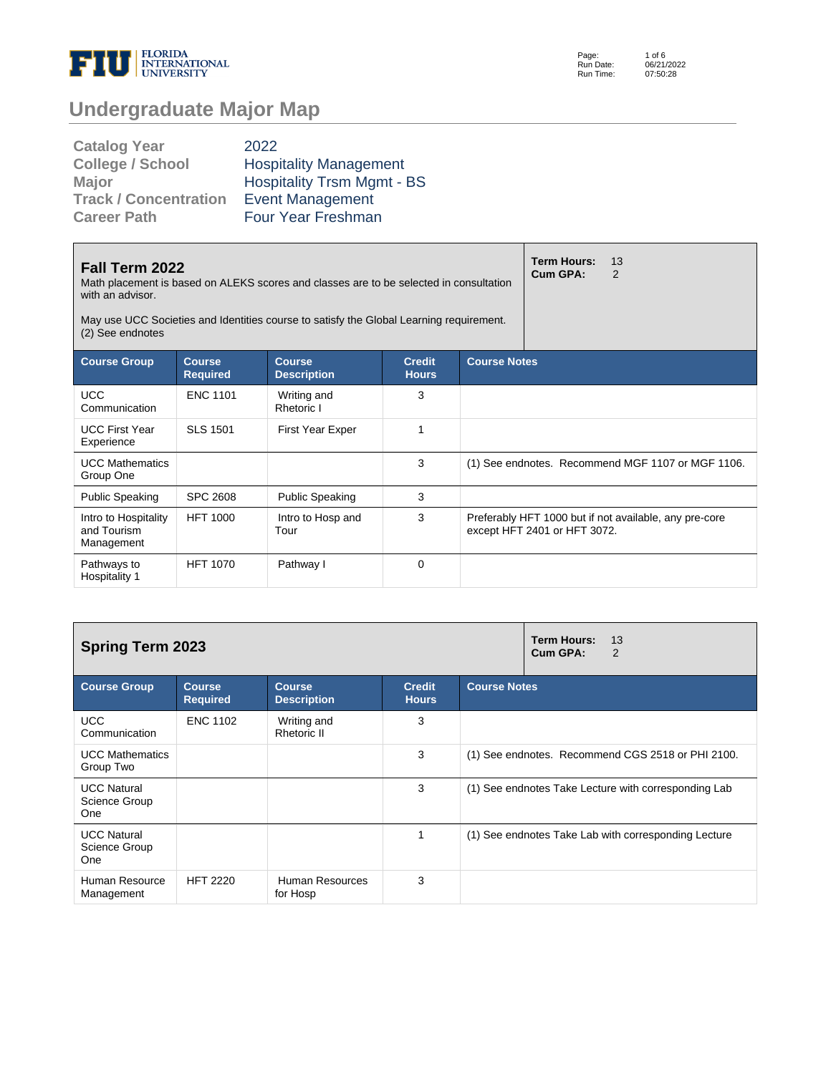

Page: Run Date: Run Time: 1 of 6 06/21/2022 07:50:28

# **Undergraduate Major Map**

| <b>Catalog Year</b>          | 2022                              |
|------------------------------|-----------------------------------|
| <b>College / School</b>      | <b>Hospitality Management</b>     |
| <b>Major</b>                 | <b>Hospitality Trsm Mgmt - BS</b> |
| <b>Track / Concentration</b> | <b>Event Management</b>           |
| <b>Career Path</b>           | <b>Four Year Freshman</b>         |

| Fall Term 2022<br>Math placement is based on ALEKS scores and classes are to be selected in consultation<br>with an advisor.<br>May use UCC Societies and Identities course to satisfy the Global Learning requirement.<br>(2) See endnotes |                                  | <b>Term Hours:</b><br>Cum GPA:      | 13<br>2                       |                     |                              |                                                        |
|---------------------------------------------------------------------------------------------------------------------------------------------------------------------------------------------------------------------------------------------|----------------------------------|-------------------------------------|-------------------------------|---------------------|------------------------------|--------------------------------------------------------|
| <b>Course Group</b>                                                                                                                                                                                                                         | <b>Course</b><br><b>Required</b> | <b>Course</b><br><b>Description</b> | <b>Credit</b><br><b>Hours</b> | <b>Course Notes</b> |                              |                                                        |
| <b>UCC</b><br>Communication                                                                                                                                                                                                                 | <b>ENC 1101</b>                  | Writing and<br>Rhetoric I           | 3                             |                     |                              |                                                        |
| <b>UCC First Year</b><br>Experience                                                                                                                                                                                                         | <b>SLS 1501</b>                  | <b>First Year Exper</b>             | 1                             |                     |                              |                                                        |
| <b>UCC Mathematics</b><br>Group One                                                                                                                                                                                                         |                                  |                                     | 3                             |                     |                              | (1) See endnotes. Recommend MGF 1107 or MGF 1106.      |
| <b>Public Speaking</b>                                                                                                                                                                                                                      | <b>SPC 2608</b>                  | <b>Public Speaking</b>              | 3                             |                     |                              |                                                        |
| Intro to Hospitality<br>and Tourism<br>Management                                                                                                                                                                                           | <b>HFT 1000</b>                  | Intro to Hosp and<br>Tour           | 3                             |                     | except HFT 2401 or HFT 3072. | Preferably HFT 1000 but if not available, any pre-core |
| Pathways to<br>Hospitality 1                                                                                                                                                                                                                | <b>HFT 1070</b>                  | Pathway I                           | $\Omega$                      |                     |                              |                                                        |

| <b>Spring Term 2023</b>                           |                                  | <b>Term Hours:</b><br>13<br>Cum GPA:<br>2 |                               |                                                      |
|---------------------------------------------------|----------------------------------|-------------------------------------------|-------------------------------|------------------------------------------------------|
| <b>Course Group</b>                               | <b>Course</b><br><b>Required</b> | <b>Course</b><br><b>Description</b>       | <b>Credit</b><br><b>Hours</b> | <b>Course Notes</b>                                  |
| <b>UCC</b><br>Communication                       | <b>ENC 1102</b>                  | Writing and<br><b>Rhetoric II</b>         | 3                             |                                                      |
| <b>UCC Mathematics</b><br>Group Two               |                                  |                                           | 3                             | (1) See endnotes. Recommend CGS 2518 or PHI 2100.    |
| <b>UCC Natural</b><br>Science Group<br><b>One</b> |                                  |                                           | 3                             | (1) See endnotes Take Lecture with corresponding Lab |
| <b>UCC Natural</b><br>Science Group<br>One        |                                  |                                           |                               | (1) See endnotes Take Lab with corresponding Lecture |
| Human Resource<br>Management                      | <b>HFT 2220</b>                  | Human Resources<br>for Hosp               | 3                             |                                                      |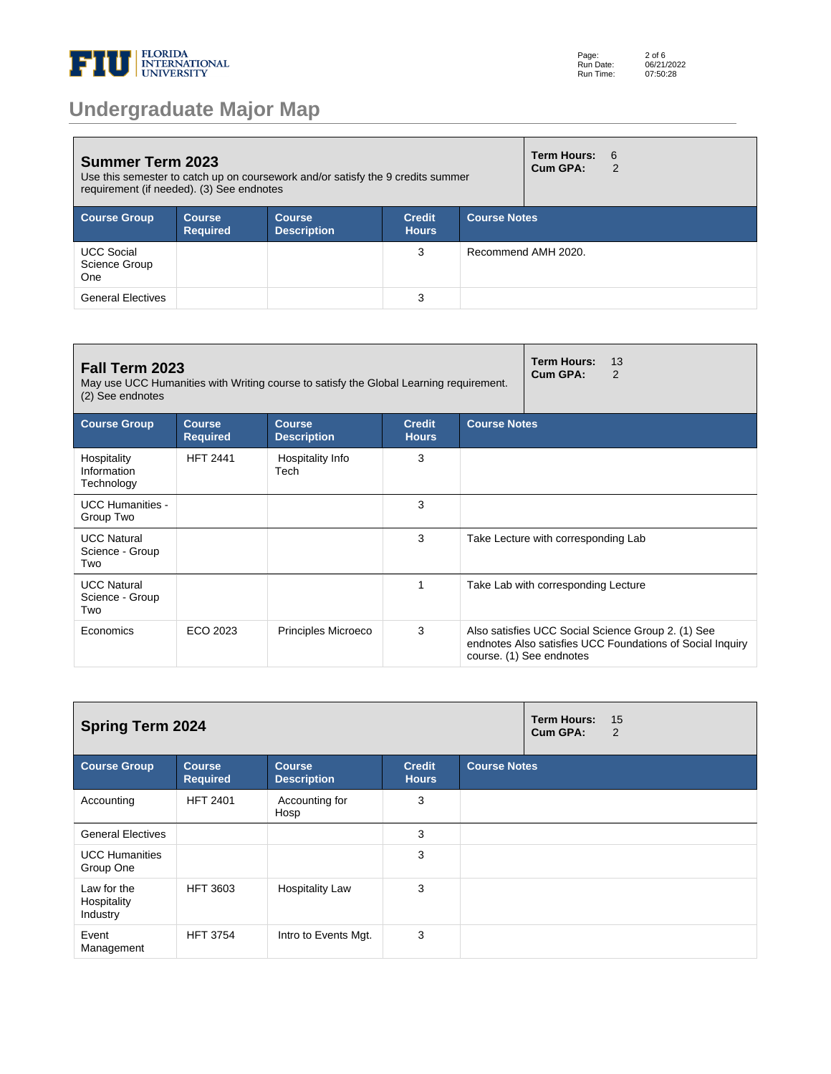

# **Undergraduate Major Map**

| <b>Summer Term 2023</b><br>Use this semester to catch up on coursework and/or satisfy the 9 credits summer<br>requirement (if needed). (3) See endnotes |                                  |                                     |                               |                     |                     | $6 \overline{6}$<br>$\mathcal{P}$ |
|---------------------------------------------------------------------------------------------------------------------------------------------------------|----------------------------------|-------------------------------------|-------------------------------|---------------------|---------------------|-----------------------------------|
| <b>Course Group</b>                                                                                                                                     | <b>Course</b><br><b>Required</b> | <b>Course</b><br><b>Description</b> | <b>Credit</b><br><b>Hours</b> | <b>Course Notes</b> |                     |                                   |
| <b>UCC Social</b><br>Science Group<br><b>One</b>                                                                                                        |                                  |                                     | 3                             |                     | Recommend AMH 2020. |                                   |
| <b>General Electives</b>                                                                                                                                |                                  |                                     | 3                             |                     |                     |                                   |

| Fall Term 2023<br>May use UCC Humanities with Writing course to satisfy the Global Learning requirement.<br>(2) See endnotes |                                  | Term Hours:<br>13<br>Cum GPA:<br>2  |                               |                     |                                                                                                                                             |
|------------------------------------------------------------------------------------------------------------------------------|----------------------------------|-------------------------------------|-------------------------------|---------------------|---------------------------------------------------------------------------------------------------------------------------------------------|
| <b>Course Group</b>                                                                                                          | <b>Course</b><br><b>Required</b> | <b>Course</b><br><b>Description</b> | <b>Credit</b><br><b>Hours</b> | <b>Course Notes</b> |                                                                                                                                             |
| Hospitality<br>Information<br>Technology                                                                                     | <b>HFT 2441</b>                  | Hospitality Info<br>Tech            | 3                             |                     |                                                                                                                                             |
| <b>UCC Humanities -</b><br>Group Two                                                                                         |                                  |                                     | 3                             |                     |                                                                                                                                             |
| <b>UCC Natural</b><br>Science - Group<br>Two                                                                                 |                                  |                                     | 3                             |                     | Take Lecture with corresponding Lab                                                                                                         |
| <b>UCC Natural</b><br>Science - Group<br>Two                                                                                 |                                  |                                     |                               |                     | Take Lab with corresponding Lecture                                                                                                         |
| Economics                                                                                                                    | ECO 2023                         | Principles Microeco                 | 3                             |                     | Also satisfies UCC Social Science Group 2. (1) See<br>endnotes Also satisfies UCC Foundations of Social Inquiry<br>course. (1) See endnotes |

| <b>Spring Term 2024</b><br>Cum GPA:    |                                  |                                     |                               |                     |  | 15<br>2 |
|----------------------------------------|----------------------------------|-------------------------------------|-------------------------------|---------------------|--|---------|
| <b>Course Group</b>                    | <b>Course</b><br><b>Required</b> | <b>Course</b><br><b>Description</b> | <b>Credit</b><br><b>Hours</b> | <b>Course Notes</b> |  |         |
| Accounting                             | <b>HFT 2401</b>                  | Accounting for<br>Hosp              | 3                             |                     |  |         |
| <b>General Electives</b>               |                                  |                                     | 3                             |                     |  |         |
| <b>UCC Humanities</b><br>Group One     |                                  |                                     | 3                             |                     |  |         |
| Law for the<br>Hospitality<br>Industry | <b>HFT 3603</b>                  | <b>Hospitality Law</b>              | 3                             |                     |  |         |
| Event<br>Management                    | <b>HFT 3754</b>                  | Intro to Events Mgt.                | 3                             |                     |  |         |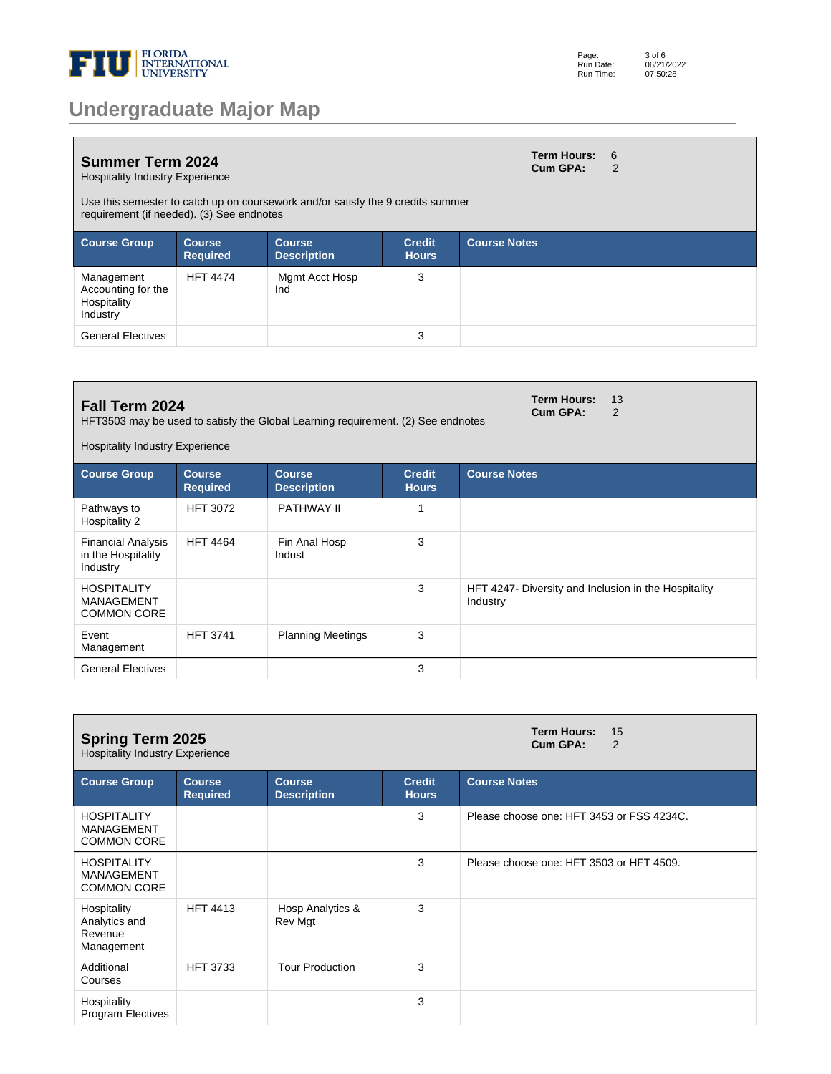

|  |  | <b>Undergraduate Major Map</b> |  |
|--|--|--------------------------------|--|
|  |  |                                |  |

| <b>Summer Term 2024</b><br><b>Hospitality Industry Experience</b><br>Use this semester to catch up on coursework and/or satisfy the 9 credits summer<br>requirement (if needed). (3) See endnotes |                           |                                     |                               |                     |  | - 6<br>2 |
|---------------------------------------------------------------------------------------------------------------------------------------------------------------------------------------------------|---------------------------|-------------------------------------|-------------------------------|---------------------|--|----------|
| <b>Course Group</b>                                                                                                                                                                               | Course<br><b>Required</b> | <b>Course</b><br><b>Description</b> | <b>Credit</b><br><b>Hours</b> | <b>Course Notes</b> |  |          |
| Management<br>Accounting for the<br>Hospitality<br>Industry                                                                                                                                       | <b>HFT 4474</b>           | Mgmt Acct Hosp<br>Ind               | 3                             |                     |  |          |
| <b>General Electives</b>                                                                                                                                                                          |                           |                                     | 3                             |                     |  |          |

| Fall Term 2024<br>HFT3503 may be used to satisfy the Global Learning requirement. (2) See endnotes<br><b>Hospitality Industry Experience</b> |                                  | <b>Term Hours:</b><br>Cum GPA:      | 13<br>2                       |                     |  |                                                      |
|----------------------------------------------------------------------------------------------------------------------------------------------|----------------------------------|-------------------------------------|-------------------------------|---------------------|--|------------------------------------------------------|
| <b>Course Group</b>                                                                                                                          | <b>Course</b><br><b>Required</b> | <b>Course</b><br><b>Description</b> | <b>Credit</b><br><b>Hours</b> | <b>Course Notes</b> |  |                                                      |
| Pathways to<br>Hospitality 2                                                                                                                 | <b>HFT 3072</b>                  | PATHWAY II                          |                               |                     |  |                                                      |
| <b>Financial Analysis</b><br>in the Hospitality<br>Industry                                                                                  | <b>HFT 4464</b>                  | Fin Anal Hosp<br>Indust             | 3                             |                     |  |                                                      |
| <b>HOSPITALITY</b><br><b>MANAGEMENT</b><br><b>COMMON CORE</b>                                                                                |                                  |                                     | 3                             | Industry            |  | HFT 4247- Diversity and Inclusion in the Hospitality |
| Event<br>Management                                                                                                                          | <b>HFT 3741</b>                  | <b>Planning Meetings</b>            | 3                             |                     |  |                                                      |
| <b>General Electives</b>                                                                                                                     |                                  |                                     | 3                             |                     |  |                                                      |

| <b>Spring Term 2025</b><br><b>Hospitality Industry Experience</b> |                                  | <b>Term Hours:</b><br>15<br>Cum GPA:<br>2 |                               |                     |                                           |
|-------------------------------------------------------------------|----------------------------------|-------------------------------------------|-------------------------------|---------------------|-------------------------------------------|
| <b>Course Group</b>                                               | <b>Course</b><br><b>Required</b> | <b>Course</b><br><b>Description</b>       | <b>Credit</b><br><b>Hours</b> | <b>Course Notes</b> |                                           |
| <b>HOSPITALITY</b><br><b>MANAGEMENT</b><br><b>COMMON CORE</b>     |                                  |                                           | 3                             |                     | Please choose one: HFT 3453 or FSS 4234C. |
| <b>HOSPITALITY</b><br><b>MANAGEMENT</b><br><b>COMMON CORE</b>     |                                  |                                           | 3                             |                     | Please choose one: HFT 3503 or HFT 4509.  |
| Hospitality<br>Analytics and<br>Revenue<br>Management             | <b>HFT 4413</b>                  | Hosp Analytics &<br>Rev Mgt               | 3                             |                     |                                           |
| Additional<br>Courses                                             | <b>HFT 3733</b>                  | <b>Tour Production</b>                    | 3                             |                     |                                           |
| Hospitality<br><b>Program Electives</b>                           |                                  |                                           | 3                             |                     |                                           |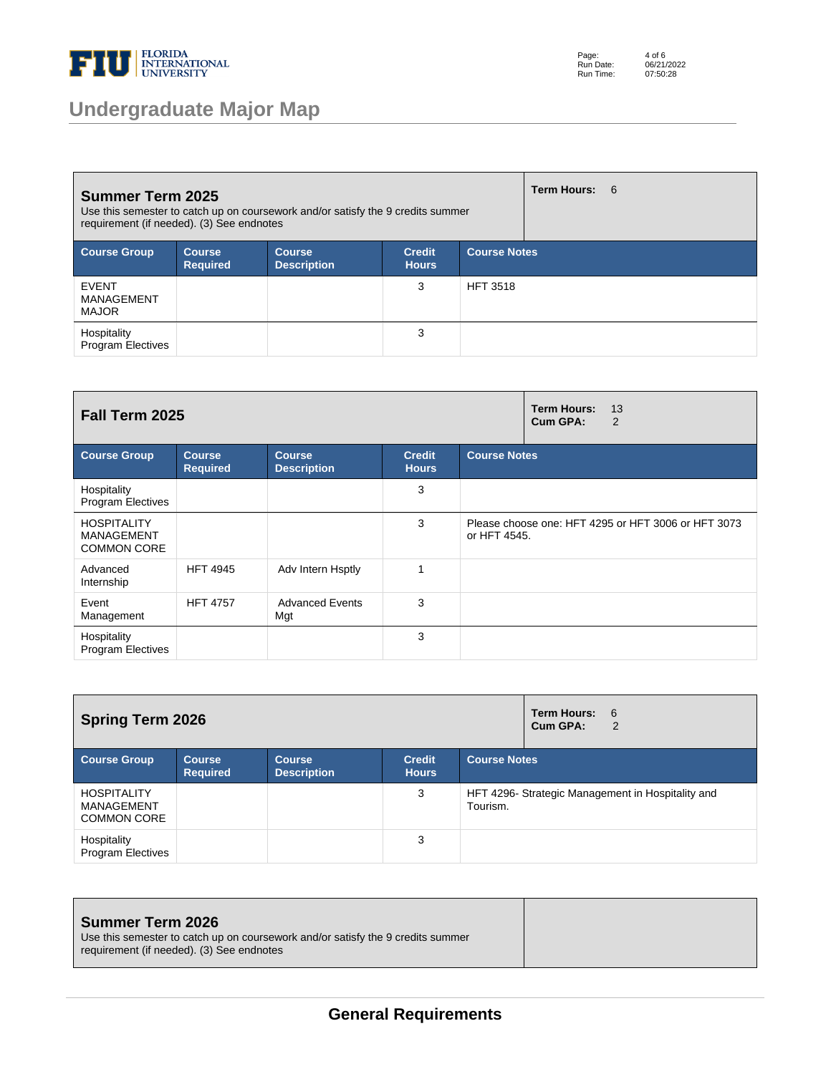

## **Undergraduate Major Map**

Page: Run Date: Run Time: 4 of 6 06/21/2022 07:50:28

| <b>Summer Term 2025</b><br>Use this semester to catch up on coursework and/or satisfy the 9 credits summer<br>requirement (if needed). (3) See endnotes |                                  |                                     |                               |                     |  | <b>Term Hours: 6</b> |
|---------------------------------------------------------------------------------------------------------------------------------------------------------|----------------------------------|-------------------------------------|-------------------------------|---------------------|--|----------------------|
| <b>Course Group</b>                                                                                                                                     | <b>Course</b><br><b>Required</b> | <b>Course</b><br><b>Description</b> | <b>Credit</b><br><b>Hours</b> | <b>Course Notes</b> |  |                      |
| <b>EVENT</b><br>MANAGEMENT<br><b>MAJOR</b>                                                                                                              |                                  |                                     | 3                             | <b>HFT 3518</b>     |  |                      |
| Hospitality<br><b>Program Electives</b>                                                                                                                 |                                  |                                     | 3                             |                     |  |                      |

| Fall Term 2025                                                |                                  |                                     |                               |                     | <b>Term Hours:</b><br>13<br>Cum GPA:<br>$\overline{2}$ |
|---------------------------------------------------------------|----------------------------------|-------------------------------------|-------------------------------|---------------------|--------------------------------------------------------|
| <b>Course Group</b>                                           | <b>Course</b><br><b>Required</b> | <b>Course</b><br><b>Description</b> | <b>Credit</b><br><b>Hours</b> | <b>Course Notes</b> |                                                        |
| Hospitality<br><b>Program Electives</b>                       |                                  |                                     | 3                             |                     |                                                        |
| <b>HOSPITALITY</b><br><b>MANAGEMENT</b><br><b>COMMON CORE</b> |                                  |                                     | 3                             | or HFT 4545.        | Please choose one: HFT 4295 or HFT 3006 or HFT 3073    |
| Advanced<br>Internship                                        | <b>HFT 4945</b>                  | Adv Intern Hsptly                   | 1                             |                     |                                                        |
| Event<br>Management                                           | <b>HFT 4757</b>                  | <b>Advanced Events</b><br>Mgt       | 3                             |                     |                                                        |
| Hospitality<br><b>Program Electives</b>                       |                                  |                                     | 3                             |                     |                                                        |

| <b>Spring Term 2026</b>                                |                                  |                                     |                               |                     | <b>Term Hours:</b><br>6<br>Cum GPA:<br>2         |  |
|--------------------------------------------------------|----------------------------------|-------------------------------------|-------------------------------|---------------------|--------------------------------------------------|--|
| <b>Course Group</b>                                    | <b>Course</b><br><b>Required</b> | <b>Course</b><br><b>Description</b> | <b>Credit</b><br><b>Hours</b> | <b>Course Notes</b> |                                                  |  |
| <b>HOSPITALITY</b><br>MANAGEMENT<br><b>COMMON CORE</b> |                                  |                                     | 3                             | Tourism.            | HFT 4296-Strategic Management in Hospitality and |  |
| Hospitality<br><b>Program Electives</b>                |                                  |                                     | 3                             |                     |                                                  |  |

| <b>Summer Term 2026</b>                                                         |  |  |
|---------------------------------------------------------------------------------|--|--|
| Use this semester to catch up on coursework and/or satisfy the 9 credits summer |  |  |
| requirement (if needed). (3) See endnotes                                       |  |  |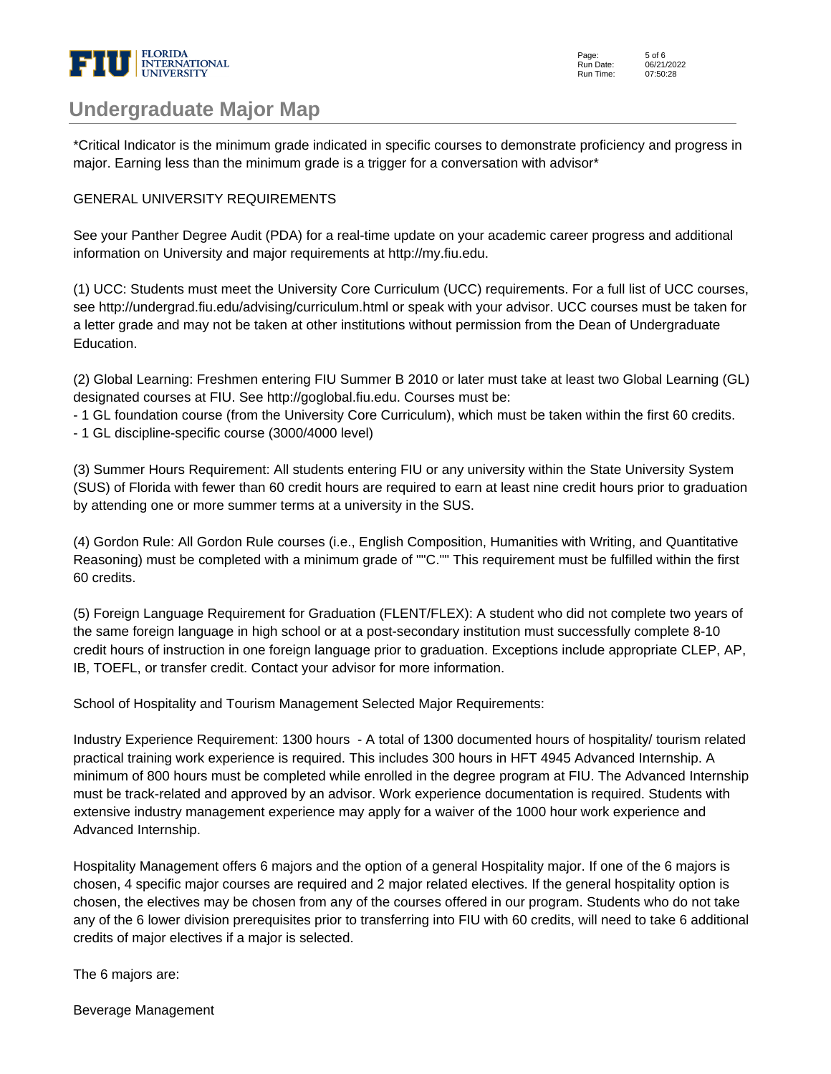

### **Undergraduate Major Map**

\*Critical Indicator is the minimum grade indicated in specific courses to demonstrate proficiency and progress in major. Earning less than the minimum grade is a trigger for a conversation with advisor\*

#### GENERAL UNIVERSITY REQUIREMENTS

See your Panther Degree Audit (PDA) for a real-time update on your academic career progress and additional information on University and major requirements at http://my.fiu.edu.

(1) UCC: Students must meet the University Core Curriculum (UCC) requirements. For a full list of UCC courses, see http://undergrad.fiu.edu/advising/curriculum.html or speak with your advisor. UCC courses must be taken for a letter grade and may not be taken at other institutions without permission from the Dean of Undergraduate Education.

(2) Global Learning: Freshmen entering FIU Summer B 2010 or later must take at least two Global Learning (GL) designated courses at FIU. See http://goglobal.fiu.edu. Courses must be:

- 1 GL foundation course (from the University Core Curriculum), which must be taken within the first 60 credits.

- 1 GL discipline-specific course (3000/4000 level)

(3) Summer Hours Requirement: All students entering FIU or any university within the State University System (SUS) of Florida with fewer than 60 credit hours are required to earn at least nine credit hours prior to graduation by attending one or more summer terms at a university in the SUS.

(4) Gordon Rule: All Gordon Rule courses (i.e., English Composition, Humanities with Writing, and Quantitative Reasoning) must be completed with a minimum grade of ""C."" This requirement must be fulfilled within the first 60 credits.

(5) Foreign Language Requirement for Graduation (FLENT/FLEX): A student who did not complete two years of the same foreign language in high school or at a post-secondary institution must successfully complete 8-10 credit hours of instruction in one foreign language prior to graduation. Exceptions include appropriate CLEP, AP, IB, TOEFL, or transfer credit. Contact your advisor for more information.

School of Hospitality and Tourism Management Selected Major Requirements:

Industry Experience Requirement: 1300 hours - A total of 1300 documented hours of hospitality/ tourism related practical training work experience is required. This includes 300 hours in HFT 4945 Advanced Internship. A minimum of 800 hours must be completed while enrolled in the degree program at FIU. The Advanced Internship must be track-related and approved by an advisor. Work experience documentation is required. Students with extensive industry management experience may apply for a waiver of the 1000 hour work experience and Advanced Internship.

Hospitality Management offers 6 majors and the option of a general Hospitality major. If one of the 6 majors is chosen, 4 specific major courses are required and 2 major related electives. If the general hospitality option is chosen, the electives may be chosen from any of the courses offered in our program. Students who do not take any of the 6 lower division prerequisites prior to transferring into FIU with 60 credits, will need to take 6 additional credits of major electives if a major is selected.

The 6 majors are:

Beverage Management